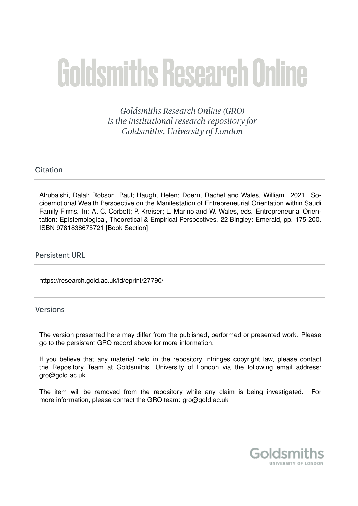# Goldsmiths Research Online

Goldsmiths Research Online (GRO) is the institutional research repository for Goldsmiths, University of London

# Citation

Alrubaishi, Dalal; Robson, Paul; Haugh, Helen; Doern, Rachel and Wales, William. 2021. Socioemotional Wealth Perspective on the Manifestation of Entrepreneurial Orientation within Saudi Family Firms. In: A. C. Corbett; P. Kreiser; L. Marino and W. Wales, eds. Entrepreneurial Orientation: Epistemological, Theoretical & Empirical Perspectives. 22 Bingley: Emerald, pp. 175-200. ISBN 9781838675721 [Book Section]

# **Persistent URL**

https://research.gold.ac.uk/id/eprint/27790/

# **Versions**

The version presented here may differ from the published, performed or presented work. Please go to the persistent GRO record above for more information.

If you believe that any material held in the repository infringes copyright law, please contact the Repository Team at Goldsmiths, University of London via the following email address: gro@gold.ac.uk.

The item will be removed from the repository while any claim is being investigated. For more information, please contact the GRO team: gro@gold.ac.uk

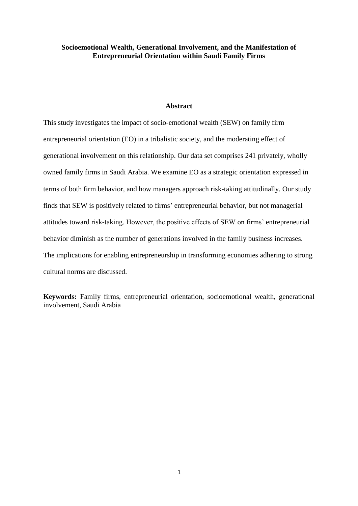# **Socioemotional Wealth, Generational Involvement, and the Manifestation of Entrepreneurial Orientation within Saudi Family Firms**

### **Abstract**

This study investigates the impact of socio-emotional wealth (SEW) on family firm entrepreneurial orientation (EO) in a tribalistic society, and the moderating effect of generational involvement on this relationship. Our data set comprises 241 privately, wholly owned family firms in Saudi Arabia. We examine EO as a strategic orientation expressed in terms of both firm behavior, and how managers approach risk-taking attitudinally. Our study finds that SEW is positively related to firms' entrepreneurial behavior, but not managerial attitudes toward risk-taking. However, the positive effects of SEW on firms' entrepreneurial behavior diminish as the number of generations involved in the family business increases. The implications for enabling entrepreneurship in transforming economies adhering to strong cultural norms are discussed.

**Keywords:** Family firms, entrepreneurial orientation, socioemotional wealth, generational involvement, Saudi Arabia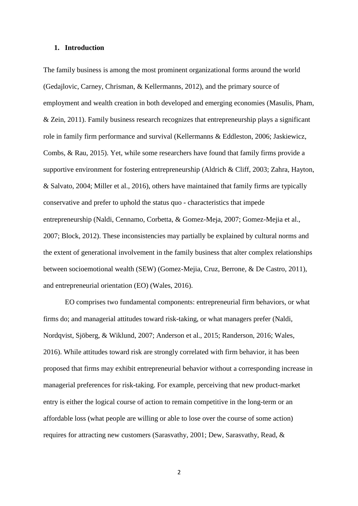#### **1. Introduction**

The family business is among the most prominent organizational forms around the world (Gedajlovic, Carney, Chrisman, & Kellermanns, 2012), and the primary source of employment and wealth creation in both developed and emerging economies (Masulis, Pham, & Zein, 2011). Family business research recognizes that entrepreneurship plays a significant role in family firm performance and survival (Kellermanns & Eddleston, 2006; Jaskiewicz, Combs, & Rau, 2015). Yet, while some researchers have found that family firms provide a supportive environment for fostering entrepreneurship (Aldrich & Cliff, 2003; Zahra, Hayton, & Salvato, 2004; Miller et al., 2016), others have maintained that family firms are typically conservative and prefer to uphold the status quo - characteristics that impede entrepreneurship (Naldi, Cennamo, Corbetta, & Gomez-Meja, 2007; Gomez-Mejia et al., 2007; Block, 2012). These inconsistencies may partially be explained by cultural norms and the extent of generational involvement in the family business that alter complex relationships between socioemotional wealth (SEW) (Gomez-Mejia, Cruz, Berrone, & De Castro, 2011), and entrepreneurial orientation (EO) (Wales, 2016).

EO comprises two fundamental components: entrepreneurial firm behaviors, or what firms do; and managerial attitudes toward risk-taking, or what managers prefer (Naldi, Nordqvist, Sjöberg, & Wiklund, 2007; Anderson et al., 2015; Randerson, 2016; Wales, 2016). While attitudes toward risk are strongly correlated with firm behavior, it has been proposed that firms may exhibit entrepreneurial behavior without a corresponding increase in managerial preferences for risk-taking. For example, perceiving that new product-market entry is either the logical course of action to remain competitive in the long-term or an affordable loss (what people are willing or able to lose over the course of some action) requires for attracting new customers (Sarasvathy, 2001; Dew, Sarasvathy, Read, &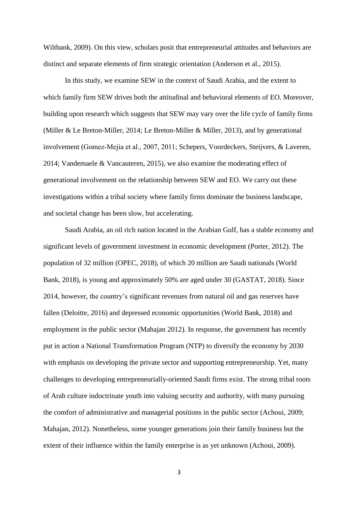Wiltbank, 2009). On this view, scholars posit that entrepreneurial attitudes and behaviors are distinct and separate elements of firm strategic orientation (Anderson et al., 2015).

In this study, we examine SEW in the context of Saudi Arabia, and the extent to which family firm SEW drives both the attitudinal and behavioral elements of EO. Moreover, building upon research which suggests that SEW may vary over the life cycle of family firms (Miller & Le Breton-Miller, 2014; Le Breton-Miller & Miller, 2013), and by generational involvement (Gomez-Mejia et al., 2007, 2011; Schepers, Voordeckers, Steijvers, & Laveren, 2014; Vandemaele & Vancauteren, 2015), we also examine the moderating effect of generational involvement on the relationship between SEW and EO. We carry out these investigations within a tribal society where family firms dominate the business landscape, and societal change has been slow, but accelerating.

Saudi Arabia, an oil rich nation located in the Arabian Gulf, has a stable economy and significant levels of government investment in economic development (Porter, 2012). The population of 32 million (OPEC, 2018), of which 20 million are Saudi nationals (World Bank, 2018), is young and approximately 50% are aged under 30 (GASTAT, 2018). Since 2014, however, the country's significant revenues from natural oil and gas reserves have fallen (Deloitte, 2016) and depressed economic opportunities (World Bank, 2018) and employment in the public sector (Mahajan 2012). In response, the government has recently put in action a National Transformation Program (NTP) to diversify the economy by 2030 with emphasis on developing the private sector and supporting entrepreneurship. Yet, many challenges to developing entrepreneurially-oriented Saudi firms exist. The strong tribal roots of Arab culture indoctrinate youth into valuing security and authority, with many pursuing the comfort of administrative and managerial positions in the public sector (Achoui, 2009; Mahajan, 2012). Nonetheless, some younger generations join their family business but the extent of their influence within the family enterprise is as yet unknown (Achoui, 2009).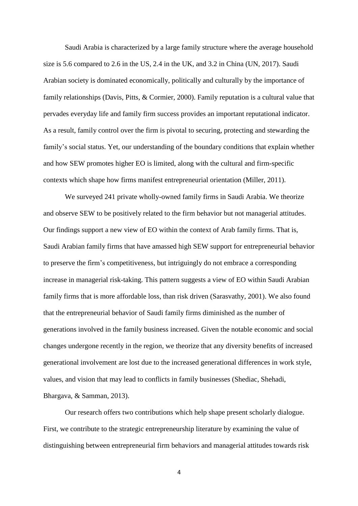Saudi Arabia is characterized by a large family structure where the average household size is 5.6 compared to 2.6 in the US, 2.4 in the UK, and 3.2 in China (UN, 2017). Saudi Arabian society is dominated economically, politically and culturally by the importance of family relationships (Davis, Pitts, & Cormier, 2000). Family reputation is a cultural value that pervades everyday life and family firm success provides an important reputational indicator. As a result, family control over the firm is pivotal to securing, protecting and stewarding the family's social status. Yet, our understanding of the boundary conditions that explain whether and how SEW promotes higher EO is limited, along with the cultural and firm-specific contexts which shape how firms manifest entrepreneurial orientation (Miller, 2011).

We surveyed 241 private wholly-owned family firms in Saudi Arabia. We theorize and observe SEW to be positively related to the firm behavior but not managerial attitudes. Our findings support a new view of EO within the context of Arab family firms. That is, Saudi Arabian family firms that have amassed high SEW support for entrepreneurial behavior to preserve the firm's competitiveness, but intriguingly do not embrace a corresponding increase in managerial risk-taking. This pattern suggests a view of EO within Saudi Arabian family firms that is more affordable loss, than risk driven (Sarasvathy, 2001). We also found that the entrepreneurial behavior of Saudi family firms diminished as the number of generations involved in the family business increased. Given the notable economic and social changes undergone recently in the region, we theorize that any diversity benefits of increased generational involvement are lost due to the increased generational differences in work style, values, and vision that may lead to conflicts in family businesses (Shediac, Shehadi, Bhargava, & Samman, 2013).

Our research offers two contributions which help shape present scholarly dialogue. First, we contribute to the strategic entrepreneurship literature by examining the value of distinguishing between entrepreneurial firm behaviors and managerial attitudes towards risk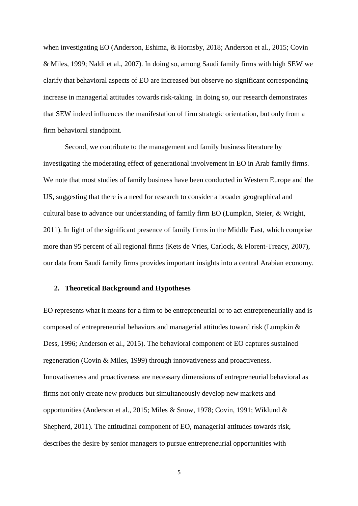when investigating EO (Anderson, Eshima, & Hornsby, 2018; Anderson et al., 2015; Covin & Miles, 1999; Naldi et al., 2007). In doing so, among Saudi family firms with high SEW we clarify that behavioral aspects of EO are increased but observe no significant corresponding increase in managerial attitudes towards risk-taking. In doing so, our research demonstrates that SEW indeed influences the manifestation of firm strategic orientation, but only from a firm behavioral standpoint.

Second, we contribute to the management and family business literature by investigating the moderating effect of generational involvement in EO in Arab family firms. We note that most studies of family business have been conducted in Western Europe and the US, suggesting that there is a need for research to consider a broader geographical and cultural base to advance our understanding of family firm EO (Lumpkin, Steier, & Wright, 2011). In light of the significant presence of family firms in the Middle East, which comprise more than 95 percent of all regional firms (Kets de Vries, Carlock, & Florent-Treacy, 2007), our data from Saudi family firms provides important insights into a central Arabian economy.

#### **2. Theoretical Background and Hypotheses**

EO represents what it means for a firm to be entrepreneurial or to act entrepreneurially and is composed of entrepreneurial behaviors and managerial attitudes toward risk (Lumpkin & Dess, 1996; Anderson et al., 2015). The behavioral component of EO captures sustained regeneration (Covin & Miles, 1999) through innovativeness and proactiveness. Innovativeness and proactiveness are necessary dimensions of entrepreneurial behavioral as firms not only create new products but simultaneously develop new markets and opportunities (Anderson et al., 2015; Miles & Snow, 1978; Covin, 1991; Wiklund & Shepherd, 2011). The attitudinal component of EO, managerial attitudes towards risk, describes the desire by senior managers to pursue entrepreneurial opportunities with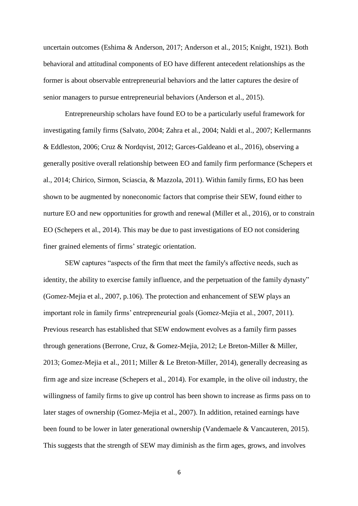uncertain outcomes (Eshima & Anderson, 2017; Anderson et al., 2015; Knight, 1921). Both behavioral and attitudinal components of EO have different antecedent relationships as the former is about observable entrepreneurial behaviors and the latter captures the desire of senior managers to pursue entrepreneurial behaviors (Anderson et al., 2015).

Entrepreneurship scholars have found EO to be a particularly useful framework for investigating family firms (Salvato, 2004; Zahra et al., 2004; Naldi et al., 2007; Kellermanns & Eddleston, 2006; Cruz & Nordqvist, 2012; Garces-Galdeano et al., 2016), observing a generally positive overall relationship between EO and family firm performance (Schepers et al., 2014; Chirico, Sirmon, Sciascia, & Mazzola, 2011). Within family firms, EO has been shown to be augmented by noneconomic factors that comprise their SEW, found either to nurture EO and new opportunities for growth and renewal (Miller et al., 2016), or to constrain EO (Schepers et al., 2014). This may be due to past investigations of EO not considering finer grained elements of firms' strategic orientation.

SEW captures "aspects of the firm that meet the family's affective needs, such as identity, the ability to exercise family influence, and the perpetuation of the family dynasty" (Gomez-Mejia et al., 2007, p.106). The protection and enhancement of SEW plays an important role in family firms' entrepreneurial goals (Gomez-Mejia et al., 2007, 2011). Previous research has established that SEW endowment evolves as a family firm passes through generations (Berrone, Cruz, & Gomez-Mejia, 2012; Le Breton-Miller & Miller, 2013; Gomez-Mejia et al., 2011; Miller & Le Breton-Miller, 2014), generally decreasing as firm age and size increase (Schepers et al., 2014). For example, in the olive oil industry, the willingness of family firms to give up control has been shown to increase as firms pass on to later stages of ownership (Gomez-Mejia et al., 2007). In addition, retained earnings have been found to be lower in later generational ownership (Vandemaele & Vancauteren, 2015). This suggests that the strength of SEW may diminish as the firm ages, grows, and involves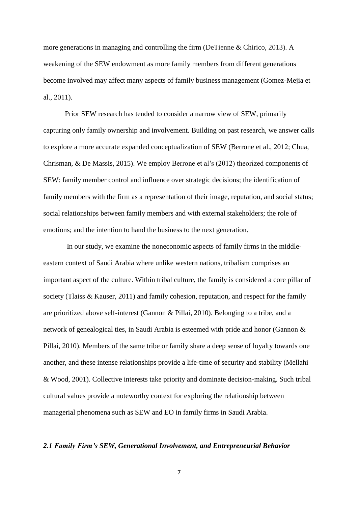more generations in managing and controlling the firm (DeTienne & Chirico, 2013). A weakening of the SEW endowment as more family members from different generations become involved may affect many aspects of family business management (Gomez-Mejia et al., 2011).

Prior SEW research has tended to consider a narrow view of SEW, primarily capturing only family ownership and involvement. Building on past research, we answer calls to explore a more accurate expanded conceptualization of SEW (Berrone et al., 2012; Chua, Chrisman, & De Massis, 2015). We employ Berrone et al's (2012) theorized components of SEW: family member control and influence over strategic decisions; the identification of family members with the firm as a representation of their image, reputation, and social status; social relationships between family members and with external stakeholders; the role of emotions; and the intention to hand the business to the next generation.

In our study, we examine the noneconomic aspects of family firms in the middleeastern context of Saudi Arabia where unlike western nations, tribalism comprises an important aspect of the culture. Within tribal culture, the family is considered a core pillar of society (Tlaiss & Kauser, 2011) and family cohesion, reputation, and respect for the family are prioritized above self-interest (Gannon & Pillai, 2010). Belonging to a tribe, and a network of genealogical ties, in Saudi Arabia is esteemed with pride and honor (Gannon & Pillai, 2010). Members of the same tribe or family share a deep sense of loyalty towards one another, and these intense relationships provide a life-time of security and stability (Mellahi & Wood, 2001). Collective interests take priority and dominate decision-making. Such tribal cultural values provide a noteworthy context for exploring the relationship between managerial phenomena such as SEW and EO in family firms in Saudi Arabia.

#### *2.1 Family Firm's SEW, Generational Involvement, and Entrepreneurial Behavior*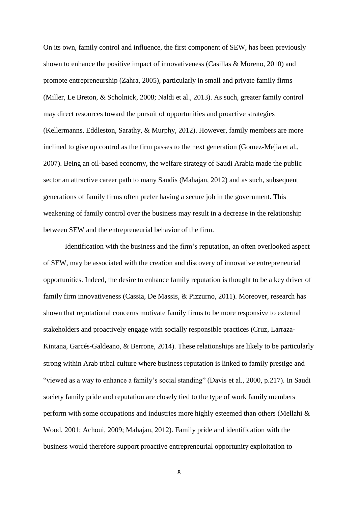On its own, family control and influence, the first component of SEW, has been previously shown to enhance the positive impact of innovativeness (Casillas & Moreno, 2010) and promote entrepreneurship (Zahra, 2005), particularly in small and private family firms (Miller, Le Breton, & Scholnick, 2008; Naldi et al., 2013). As such, greater family control may direct resources toward the pursuit of opportunities and proactive strategies (Kellermanns, Eddleston, Sarathy, & Murphy, 2012). However, family members are more inclined to give up control as the firm passes to the next generation (Gomez-Mejia et al., 2007). Being an oil-based economy, the welfare strategy of Saudi Arabia made the public sector an attractive career path to many Saudis (Mahajan, 2012) and as such, subsequent generations of family firms often prefer having a secure job in the government. This weakening of family control over the business may result in a decrease in the relationship between SEW and the entrepreneurial behavior of the firm.

Identification with the business and the firm's reputation, an often overlooked aspect of SEW, may be associated with the creation and discovery of innovative entrepreneurial opportunities. Indeed, the desire to enhance family reputation is thought to be a key driver of family firm innovativeness (Cassia, De Massis, & Pizzurno, 2011). Moreover, research has shown that reputational concerns motivate family firms to be more responsive to external stakeholders and proactively engage with socially responsible practices (Cruz, Larraza-Kintana, Garcés-Galdeano, & Berrone, 2014). These relationships are likely to be particularly strong within Arab tribal culture where business reputation is linked to family prestige and "viewed as a way to enhance a family's social standing" (Davis et al., 2000, p.217). In Saudi society family pride and reputation are closely tied to the type of work family members perform with some occupations and industries more highly esteemed than others (Mellahi & Wood, 2001; Achoui, 2009; Mahajan, 2012). Family pride and identification with the business would therefore support proactive entrepreneurial opportunity exploitation to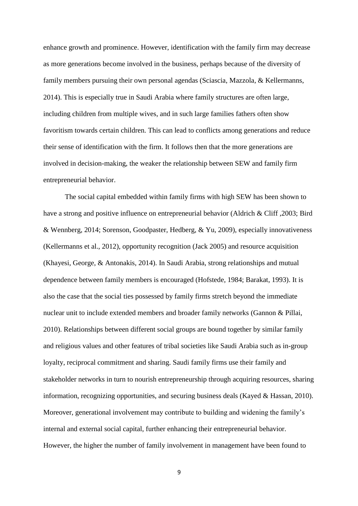enhance growth and prominence. However, identification with the family firm may decrease as more generations become involved in the business, perhaps because of the diversity of family members pursuing their own personal agendas (Sciascia, Mazzola, & Kellermanns, 2014). This is especially true in Saudi Arabia where family structures are often large, including children from multiple wives, and in such large families fathers often show favoritism towards certain children. This can lead to conflicts among generations and reduce their sense of identification with the firm. It follows then that the more generations are involved in decision-making, the weaker the relationship between SEW and family firm entrepreneurial behavior.

The social capital embedded within family firms with high SEW has been shown to have a strong and positive influence on entrepreneurial behavior (Aldrich & Cliff ,2003; Bird & Wennberg, 2014; Sorenson, Goodpaster, Hedberg, & Yu, 2009), especially innovativeness (Kellermanns et al., 2012), opportunity recognition (Jack 2005) and resource acquisition (Khayesi, George, & Antonakis, 2014). In Saudi Arabia, strong relationships and mutual dependence between family members is encouraged (Hofstede, 1984; Barakat, 1993). It is also the case that the social ties possessed by family firms stretch beyond the immediate nuclear unit to include extended members and broader family networks (Gannon & Pillai, 2010). Relationships between different social groups are bound together by similar family and religious values and other features of tribal societies like Saudi Arabia such as in-group loyalty, reciprocal commitment and sharing. Saudi family firms use their family and stakeholder networks in turn to nourish entrepreneurship through acquiring resources, sharing information, recognizing opportunities, and securing business deals (Kayed & Hassan, 2010). Moreover, generational involvement may contribute to building and widening the family's internal and external social capital, further enhancing their entrepreneurial behavior. However, the higher the number of family involvement in management have been found to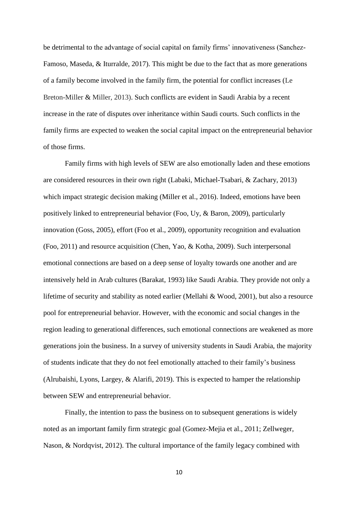be detrimental to the advantage of social capital on family firms' innovativeness (Sanchez-Famoso, Maseda, & Iturralde, 2017). This might be due to the fact that as more generations of a family become involved in the family firm, the potential for conflict increases (Le Breton-Miller & Miller, 2013). Such conflicts are evident in Saudi Arabia by a recent increase in the rate of disputes over inheritance within Saudi courts. Such conflicts in the family firms are expected to weaken the social capital impact on the entrepreneurial behavior of those firms.

Family firms with high levels of SEW are also emotionally laden and these emotions are considered resources in their own right (Labaki, Michael-Tsabari, & Zachary, 2013) which impact strategic decision making (Miller et al., 2016). Indeed, emotions have been positively linked to entrepreneurial behavior (Foo, Uy, & Baron, 2009), particularly innovation (Goss, 2005), effort (Foo et al., 2009), opportunity recognition and evaluation (Foo, 2011) and resource acquisition (Chen, Yao, & Kotha, 2009). Such interpersonal emotional connections are based on a deep sense of loyalty towards one another and are intensively held in Arab cultures (Barakat, 1993) like Saudi Arabia. They provide not only a lifetime of security and stability as noted earlier (Mellahi & Wood, 2001), but also a resource pool for entrepreneurial behavior. However, with the economic and social changes in the region leading to generational differences, such emotional connections are weakened as more generations join the business. In a survey of university students in Saudi Arabia, the majority of students indicate that they do not feel emotionally attached to their family's business (Alrubaishi, Lyons, Largey, & Alarifi, 2019). This is expected to hamper the relationship between SEW and entrepreneurial behavior.

Finally, the intention to pass the business on to subsequent generations is widely noted as an important family firm strategic goal (Gomez-Mejia et al., 2011; Zellweger, Nason, & Nordqvist, 2012). The cultural importance of the family legacy combined with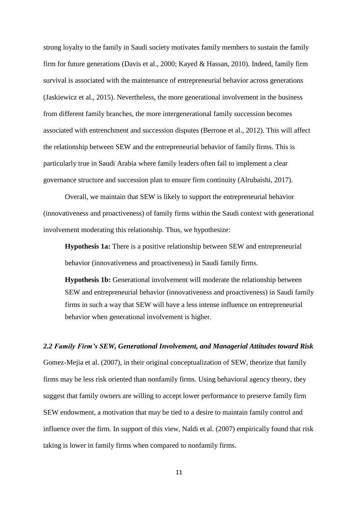strong loyalty to the family in Saudi society motivates family members to sustain the family firm for future generations (Davis et al., 2000; Kayed & Hassan, 2010). Indeed, family firm survival is associated with the maintenance of entrepreneurial behavior across generations (Jaskiewicz et al., 2015). Nevertheless, the more generational involvement in the business from different family branches, the more intergenerational family succession becomes associated with entrenchment and succession disputes (Berrone et al., 2012). This will affect the relationship between SEW and the entrepreneurial behavior of family firms. This is particularly true in Saudi Arabia where family leaders often fail to implement a clear governance structure and succession plan to ensure firm continuity (Alrubaishi, 2017).

Overall, we maintain that SEW is likely to support the entrepreneurial behavior (innovativeness and proactiveness) of family firms within the Saudi context with generational involvement moderating this relationship. Thus, we hypothesize:

**Hypothesis 1a:** There is a positive relationship between SEW and entrepreneurial behavior (innovativeness and proactiveness) in Saudi family firms.

**Hypothesis 1b:** Generational involvement will moderate the relationship between SEW and entrepreneurial behavior (innovativeness and proactiveness) in Saudi family firms in such a way that SEW will have a less intense influence on entrepreneurial behavior when generational involvement is higher.

#### *2.2 Family Firm's SEW, Generational Involvement, and Managerial Attitudes toward Risk*

Gomez-Mejia et al. (2007), in their original conceptualization of SEW, theorize that family firms may be less risk oriented than nonfamily firms. Using behavioral agency theory, they suggest that family owners are willing to accept lower performance to preserve family firm SEW endowment, a motivation that may be tied to a desire to maintain family control and influence over the firm. In support of this view, Naldi et al. (2007) empirically found that risk taking is lower in family firms when compared to nonfamily firms.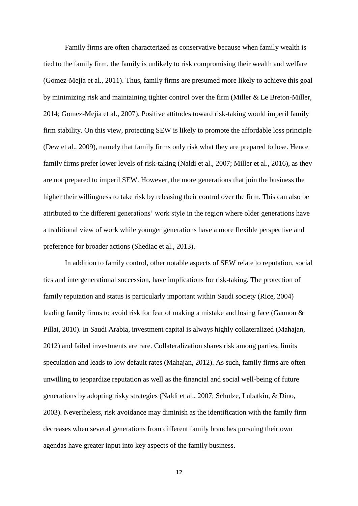Family firms are often characterized as conservative because when family wealth is tied to the family firm, the family is unlikely to risk compromising their wealth and welfare (Gomez-Mejia et al., 2011). Thus, family firms are presumed more likely to achieve this goal by minimizing risk and maintaining tighter control over the firm (Miller & Le Breton-Miller, 2014; Gomez-Mejia et al., 2007). Positive attitudes toward risk-taking would imperil family firm stability. On this view, protecting SEW is likely to promote the affordable loss principle (Dew et al., 2009), namely that family firms only risk what they are prepared to lose. Hence family firms prefer lower levels of risk-taking (Naldi et al., 2007; Miller et al., 2016), as they are not prepared to imperil SEW. However, the more generations that join the business the higher their willingness to take risk by releasing their control over the firm. This can also be attributed to the different generations' work style in the region where older generations have a traditional view of work while younger generations have a more flexible perspective and preference for broader actions (Shediac et al., 2013).

In addition to family control, other notable aspects of SEW relate to reputation, social ties and intergenerational succession, have implications for risk-taking. The protection of family reputation and status is particularly important within Saudi society (Rice, 2004) leading family firms to avoid risk for fear of making a mistake and losing face (Gannon & Pillai, 2010). In Saudi Arabia, investment capital is always highly collateralized (Mahajan, 2012) and failed investments are rare. Collateralization shares risk among parties, limits speculation and leads to low default rates (Mahajan, 2012). As such, family firms are often unwilling to jeopardize reputation as well as the financial and social well-being of future generations by adopting risky strategies (Naldi et al., 2007; Schulze, Lubatkin, & Dino, 2003). Nevertheless, risk avoidance may diminish as the identification with the family firm decreases when several generations from different family branches pursuing their own agendas have greater input into key aspects of the family business.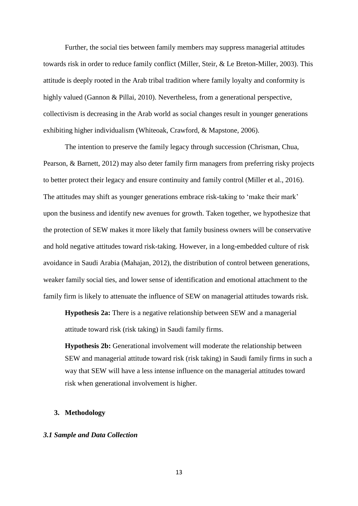Further, the social ties between family members may suppress managerial attitudes towards risk in order to reduce family conflict (Miller, Steir, & Le Breton-Miller, 2003). This attitude is deeply rooted in the Arab tribal tradition where family loyalty and conformity is highly valued (Gannon & Pillai, 2010). Nevertheless, from a generational perspective, collectivism is decreasing in the Arab world as social changes result in younger generations exhibiting higher individualism (Whiteoak, Crawford, & Mapstone, 2006).

The intention to preserve the family legacy through succession (Chrisman, Chua, Pearson, & Barnett, 2012) may also deter family firm managers from preferring risky projects to better protect their legacy and ensure continuity and family control (Miller et al., 2016). The attitudes may shift as younger generations embrace risk-taking to 'make their mark' upon the business and identify new avenues for growth. Taken together, we hypothesize that the protection of SEW makes it more likely that family business owners will be conservative and hold negative attitudes toward risk-taking. However, in a long-embedded culture of risk avoidance in Saudi Arabia (Mahajan, 2012), the distribution of control between generations, weaker family social ties, and lower sense of identification and emotional attachment to the family firm is likely to attenuate the influence of SEW on managerial attitudes towards risk.

**Hypothesis 2a:** There is a negative relationship between SEW and a managerial attitude toward risk (risk taking) in Saudi family firms.

**Hypothesis 2b:** Generational involvement will moderate the relationship between SEW and managerial attitude toward risk (risk taking) in Saudi family firms in such a way that SEW will have a less intense influence on the managerial attitudes toward risk when generational involvement is higher.

# **3. Methodology**

# *3.1 Sample and Data Collection*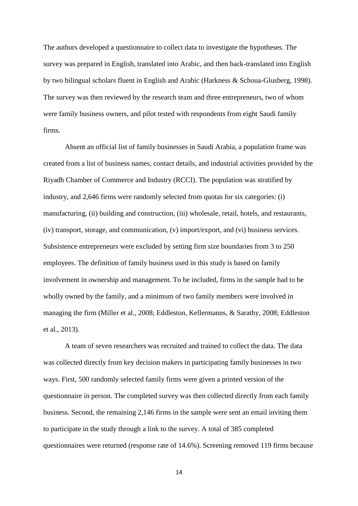The authors developed a questionnaire to collect data to investigate the hypotheses. The survey was prepared in English, translated into Arabic, and then back-translated into English by two bilingual scholars fluent in English and Arabic (Harkness & Schoua-Glusberg, 1998). The survey was then reviewed by the research team and three entrepreneurs, two of whom were family business owners, and pilot tested with respondents from eight Saudi family firms.

Absent an official list of family businesses in Saudi Arabia, a population frame was created from a list of business names, contact details, and industrial activities provided by the Riyadh Chamber of Commerce and Industry (RCCI). The population was stratified by industry, and 2,646 firms were randomly selected from quotas for six categories: (i) manufacturing, (ii) building and construction, (iii) wholesale, retail, hotels, and restaurants, (iv) transport, storage, and communication, (v) import/export, and (vi) business services. Subsistence entrepreneurs were excluded by setting firm size boundaries from 3 to 250 employees. The definition of family business used in this study is based on family involvement in ownership and management. To be included, firms in the sample had to be wholly owned by the family, and a minimum of two family members were involved in managing the firm (Miller et al., 2008; Eddleston, Kellermanns, & Sarathy, 2008; Eddleston et al., 2013).

A team of seven researchers was recruited and trained to collect the data. The data was collected directly from key decision makers in participating family businesses in two ways. First, 500 randomly selected family firms were given a printed version of the questionnaire in person. The completed survey was then collected directly from each family business. Second, the remaining 2,146 firms in the sample were sent an email inviting them to participate in the study through a link to the survey. A total of 385 completed questionnaires were returned (response rate of 14.6%). Screening removed 119 firms because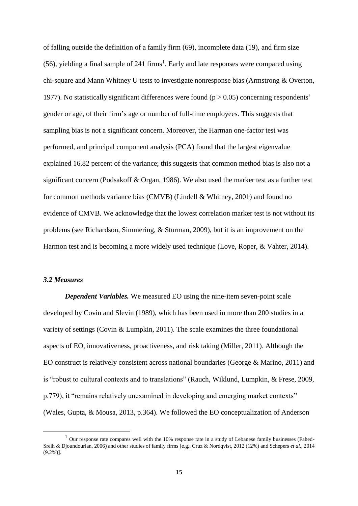of falling outside the definition of a family firm (69), incomplete data (19), and firm size  $(56)$ , yielding a final sample of 241 firms<sup>1</sup>. Early and late responses were compared using chi-square and Mann Whitney U tests to investigate nonresponse bias (Armstrong & Overton, 1977). No statistically significant differences were found ( $p > 0.05$ ) concerning respondents' gender or age, of their firm's age or number of full-time employees. This suggests that sampling bias is not a significant concern. Moreover, the Harman one-factor test was performed, and principal component analysis (PCA) found that the largest eigenvalue explained 16.82 percent of the variance; this suggests that common method bias is also not a significant concern (Podsakoff & Organ, 1986). We also used the marker test as a further test for common methods variance bias (CMVB) (Lindell & Whitney, 2001) and found no evidence of CMVB. We acknowledge that the lowest correlation marker test is not without its problems (see Richardson, Simmering, & Sturman, 2009), but it is an improvement on the Harmon test and is becoming a more widely used technique (Love, Roper, & Vahter, 2014).

#### *3.2 Measures*

1

*Dependent Variables.* We measured EO using the nine-item seven-point scale developed by Covin and Slevin (1989), which has been used in more than 200 studies in a variety of settings (Covin & Lumpkin, 2011). The scale examines the three foundational aspects of EO, innovativeness, proactiveness, and risk taking (Miller, 2011). Although the EO construct is relatively consistent across national boundaries (George & Marino, 2011) and is "robust to cultural contexts and to translations" (Rauch, Wiklund, Lumpkin, & Frese, 2009, p.779), it "remains relatively unexamined in developing and emerging market contexts" (Wales, Gupta, & Mousa, 2013, p.364). We followed the EO conceptualization of Anderson

<sup>&</sup>lt;sup>1</sup> Our response rate compares well with the 10% response rate in a study of Lebanese family businesses (Fahed-Sreih & Djoundourian, 2006) and other studies of family firms [e.g., Cruz & Nordqvist, 2012 (12%) and Schepers *et al*., 2014 (9.2%)].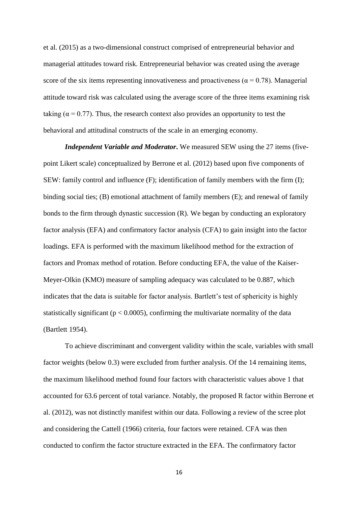et al. (2015) as a two-dimensional construct comprised of entrepreneurial behavior and managerial attitudes toward risk. Entrepreneurial behavior was created using the average score of the six items representing innovativeness and proactiveness ( $\alpha$  = 0.78). Managerial attitude toward risk was calculated using the average score of the three items examining risk taking ( $\alpha$  = 0.77). Thus, the research context also provides an opportunity to test the behavioral and attitudinal constructs of the scale in an emerging economy.

*Independent Variable and Moderator***.** We measured SEW using the 27 items (fivepoint Likert scale) conceptualized by Berrone et al. (2012) based upon five components of SEW: family control and influence (F); identification of family members with the firm (I); binding social ties; (B) emotional attachment of family members (E); and renewal of family bonds to the firm through dynastic succession (R). We began by conducting an exploratory factor analysis (EFA) and confirmatory factor analysis (CFA) to gain insight into the factor loadings. EFA is performed with the maximum likelihood method for the extraction of factors and Promax method of rotation. Before conducting EFA, the value of the Kaiser-Meyer-Olkin (KMO) measure of sampling adequacy was calculated to be 0.887, which indicates that the data is suitable for factor analysis. Bartlett's test of sphericity is highly statistically significant ( $p < 0.0005$ ), confirming the multivariate normality of the data (Bartlett 1954).

To achieve discriminant and convergent validity within the scale, variables with small factor weights (below 0.3) were excluded from further analysis. Of the 14 remaining items, the maximum likelihood method found four factors with characteristic values above 1 that accounted for 63.6 percent of total variance. Notably, the proposed R factor within Berrone et al. (2012), was not distinctly manifest within our data. Following a review of the scree plot and considering the Cattell (1966) criteria, four factors were retained. CFA was then conducted to confirm the factor structure extracted in the EFA. The confirmatory factor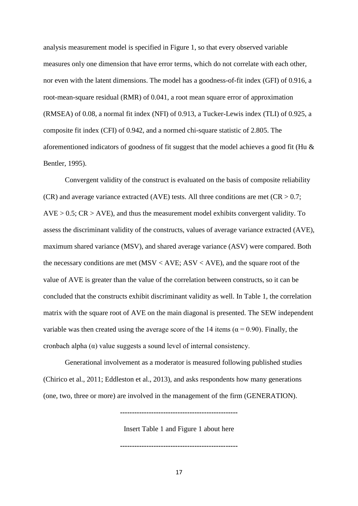analysis measurement model is specified in Figure 1, so that every observed variable measures only one dimension that have error terms, which do not correlate with each other, nor even with the latent dimensions. The model has a goodness-of-fit index (GFI) of 0.916, a root-mean-square residual (RMR) of 0.041, a root mean square error of approximation (RMSEA) of 0.08, a normal fit index (NFI) of 0.913, a Tucker-Lewis index (TLI) of 0.925, a composite fit index (CFI) of 0.942, and a normed chi-square statistic of 2.805. The aforementioned indicators of goodness of fit suggest that the model achieves a good fit (Hu & Bentler, 1995).

Convergent validity of the construct is evaluated on the basis of composite reliability (CR) and average variance extracted (AVE) tests. All three conditions are met ( $CR > 0.7$ ;  $AVE > 0.5$ ;  $CR > AVE$ ), and thus the measurement model exhibits convergent validity. To assess the discriminant validity of the constructs, values of average variance extracted (AVE), maximum shared variance (MSV), and shared average variance (ASV) were compared. Both the necessary conditions are met  $(MSV < AVE; ASV < AVE)$ , and the square root of the value of AVE is greater than the value of the correlation between constructs, so it can be concluded that the constructs exhibit discriminant validity as well. In Table 1, the correlation matrix with the square root of AVE on the main diagonal is presented. The SEW independent variable was then created using the average score of the 14 items ( $\alpha$  = 0.90). Finally, the cronbach alpha (α) value suggests a sound level of internal consistency.

Generational involvement as a moderator is measured following published studies (Chirico et al., 2011; Eddleston et al., 2013), and asks respondents how many generations (one, two, three or more) are involved in the management of the firm (GENERATION).

Insert Table 1 and Figure 1 about here

**-------------------------------------------------**

**-------------------------------------------------**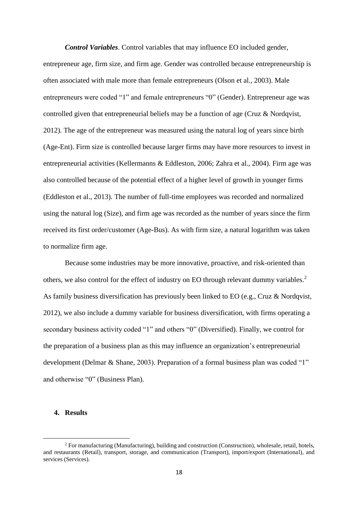*Control Variables*. Control variables that may influence EO included gender, entrepreneur age, firm size, and firm age. Gender was controlled because entrepreneurship is often associated with male more than female entrepreneurs (Olson et al., 2003). Male entrepreneurs were coded "1" and female entrepreneurs "0" (Gender). Entrepreneur age was controlled given that entrepreneurial beliefs may be a function of age (Cruz & Nordqvist, 2012). The age of the entrepreneur was measured using the natural log of years since birth (Age-Ent). Firm size is controlled because larger firms may have more resources to invest in entrepreneurial activities (Kellermanns & Eddleston, 2006; Zahra et al., 2004). Firm age was also controlled because of the potential effect of a higher level of growth in younger firms (Eddleston et al., 2013). The number of full-time employees was recorded and normalized using the natural log (Size), and firm age was recorded as the number of years since the firm received its first order/customer (Age-Bus). As with firm size, a natural logarithm was taken to normalize firm age.

Because some industries may be more innovative, proactive, and risk-oriented than others, we also control for the effect of industry on EO through relevant dummy variables.<sup>2</sup> As family business diversification has previously been linked to EO (e.g., Cruz & Nordqvist, 2012), we also include a dummy variable for business diversification, with firms operating a secondary business activity coded "1" and others "0" (Diversified). Finally, we control for the preparation of a business plan as this may influence an organization's entrepreneurial development (Delmar & Shane, 2003). Preparation of a formal business plan was coded "1" and otherwise "0" (Business Plan).

# **4. Results**

<u>.</u>

<sup>2</sup> For manufacturing (Manufacturing), building and construction (Construction), wholesale, retail, hotels, and restaurants (Retail), transport, storage, and communication (Transport), import/export (International), and services (Services).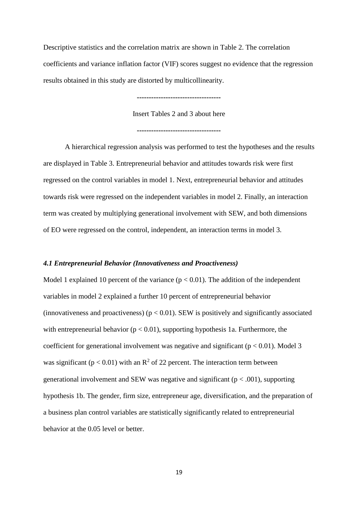Descriptive statistics and the correlation matrix are shown in Table 2. The correlation coefficients and variance inflation factor (VIF) scores suggest no evidence that the regression results obtained in this study are distorted by multicollinearity.

**-----------------------------------**

Insert Tables 2 and 3 about here

#### **-----------------------------------**

A hierarchical regression analysis was performed to test the hypotheses and the results are displayed in Table 3. Entrepreneurial behavior and attitudes towards risk were first regressed on the control variables in model 1. Next, entrepreneurial behavior and attitudes towards risk were regressed on the independent variables in model 2. Finally, an interaction term was created by multiplying generational involvement with SEW, and both dimensions of EO were regressed on the control, independent, an interaction terms in model 3.

#### *4.1 Entrepreneurial Behavior (Innovativeness and Proactiveness)*

Model 1 explained 10 percent of the variance  $(p < 0.01)$ . The addition of the independent variables in model 2 explained a further 10 percent of entrepreneurial behavior (innovativeness and proactiveness) ( $p < 0.01$ ). SEW is positively and significantly associated with entrepreneurial behavior ( $p < 0.01$ ), supporting hypothesis 1a. Furthermore, the coefficient for generational involvement was negative and significant ( $p < 0.01$ ). Model 3 was significant ( $p < 0.01$ ) with an  $R^2$  of 22 percent. The interaction term between generational involvement and SEW was negative and significant ( $p < .001$ ), supporting hypothesis 1b. The gender, firm size, entrepreneur age, diversification, and the preparation of a business plan control variables are statistically significantly related to entrepreneurial behavior at the 0.05 level or better.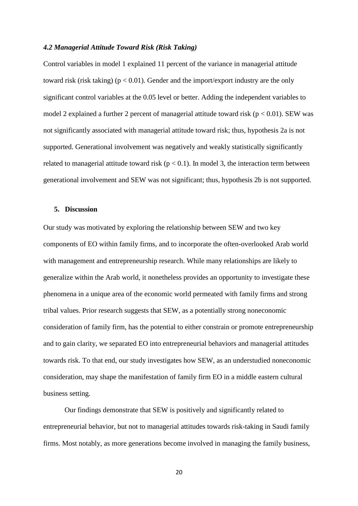#### *4.2 Managerial Attitude Toward Risk (Risk Taking)*

Control variables in model 1 explained 11 percent of the variance in managerial attitude toward risk (risk taking) ( $p < 0.01$ ). Gender and the import/export industry are the only significant control variables at the 0.05 level or better. Adding the independent variables to model 2 explained a further 2 percent of managerial attitude toward risk ( $p < 0.01$ ). SEW was not significantly associated with managerial attitude toward risk; thus, hypothesis 2a is not supported. Generational involvement was negatively and weakly statistically significantly related to managerial attitude toward risk ( $p < 0.1$ ). In model 3, the interaction term between generational involvement and SEW was not significant; thus, hypothesis 2b is not supported.

#### **5. Discussion**

Our study was motivated by exploring the relationship between SEW and two key components of EO within family firms, and to incorporate the often-overlooked Arab world with management and entrepreneurship research. While many relationships are likely to generalize within the Arab world, it nonetheless provides an opportunity to investigate these phenomena in a unique area of the economic world permeated with family firms and strong tribal values. Prior research suggests that SEW, as a potentially strong noneconomic consideration of family firm, has the potential to either constrain or promote entrepreneurship and to gain clarity, we separated EO into entrepreneurial behaviors and managerial attitudes towards risk. To that end, our study investigates how SEW, as an understudied noneconomic consideration, may shape the manifestation of family firm EO in a middle eastern cultural business setting.

Our findings demonstrate that SEW is positively and significantly related to entrepreneurial behavior, but not to managerial attitudes towards risk-taking in Saudi family firms. Most notably, as more generations become involved in managing the family business,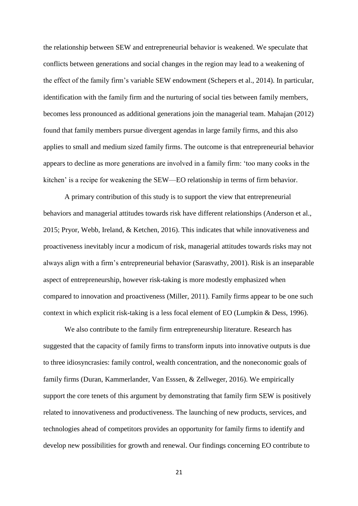the relationship between SEW and entrepreneurial behavior is weakened. We speculate that conflicts between generations and social changes in the region may lead to a weakening of the effect of the family firm's variable SEW endowment (Schepers et al., 2014). In particular, identification with the family firm and the nurturing of social ties between family members, becomes less pronounced as additional generations join the managerial team. Mahajan (2012) found that family members pursue divergent agendas in large family firms, and this also applies to small and medium sized family firms. The outcome is that entrepreneurial behavior appears to decline as more generations are involved in a family firm: 'too many cooks in the kitchen' is a recipe for weakening the SEW—EO relationship in terms of firm behavior.

A primary contribution of this study is to support the view that entrepreneurial behaviors and managerial attitudes towards risk have different relationships (Anderson et al., 2015; Pryor, Webb, Ireland, & Ketchen, 2016). This indicates that while innovativeness and proactiveness inevitably incur a modicum of risk, managerial attitudes towards risks may not always align with a firm's entrepreneurial behavior (Sarasvathy, 2001). Risk is an inseparable aspect of entrepreneurship, however risk-taking is more modestly emphasized when compared to innovation and proactiveness (Miller, 2011). Family firms appear to be one such context in which explicit risk-taking is a less focal element of EO (Lumpkin & Dess, 1996).

We also contribute to the family firm entrepreneurship literature. Research has suggested that the capacity of family firms to transform inputs into innovative outputs is due to three idiosyncrasies: family control, wealth concentration, and the noneconomic goals of family firms (Duran, Kammerlander, Van Esssen, & Zellweger, 2016). We empirically support the core tenets of this argument by demonstrating that family firm SEW is positively related to innovativeness and productiveness. The launching of new products, services, and technologies ahead of competitors provides an opportunity for family firms to identify and develop new possibilities for growth and renewal. Our findings concerning EO contribute to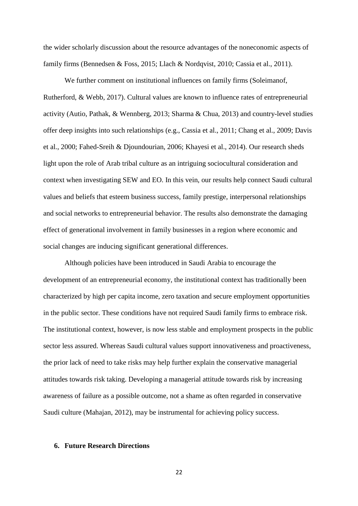the wider scholarly discussion about the resource advantages of the noneconomic aspects of family firms (Bennedsen & Foss, 2015; Llach & Nordqvist, 2010; Cassia et al., 2011).

We further comment on institutional influences on family firms (Soleimanof, Rutherford, & Webb, 2017). Cultural values are known to influence rates of entrepreneurial activity (Autio, Pathak, & Wennberg, 2013; Sharma & Chua, 2013) and country-level studies offer deep insights into such relationships (e.g., Cassia et al., 2011; Chang et al., 2009; Davis et al., 2000; Fahed-Sreih & Djoundourian, 2006; Khayesi et al., 2014). Our research sheds light upon the role of Arab tribal culture as an intriguing sociocultural consideration and context when investigating SEW and EO. In this vein, our results help connect Saudi cultural values and beliefs that esteem business success, family prestige, interpersonal relationships and social networks to entrepreneurial behavior. The results also demonstrate the damaging effect of generational involvement in family businesses in a region where economic and social changes are inducing significant generational differences.

Although policies have been introduced in Saudi Arabia to encourage the development of an entrepreneurial economy, the institutional context has traditionally been characterized by high per capita income, zero taxation and secure employment opportunities in the public sector. These conditions have not required Saudi family firms to embrace risk. The institutional context, however, is now less stable and employment prospects in the public sector less assured. Whereas Saudi cultural values support innovativeness and proactiveness, the prior lack of need to take risks may help further explain the conservative managerial attitudes towards risk taking. Developing a managerial attitude towards risk by increasing awareness of failure as a possible outcome, not a shame as often regarded in conservative Saudi culture (Mahajan, 2012), may be instrumental for achieving policy success.

# **6. Future Research Directions**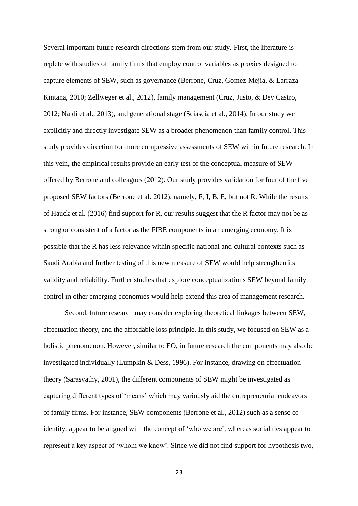Several important future research directions stem from our study. First, the literature is replete with studies of family firms that employ control variables as proxies designed to capture elements of SEW, such as governance (Berrone, Cruz, Gomez-Mejia, & Larraza Kintana, 2010; Zellweger et al., 2012), family management (Cruz, Justo, & Dev Castro, 2012; Naldi et al., 2013), and generational stage (Sciascia et al., 2014). In our study we explicitly and directly investigate SEW as a broader phenomenon than family control. This study provides direction for more compressive assessments of SEW within future research. In this vein, the empirical results provide an early test of the conceptual measure of SEW offered by Berrone and colleagues (2012). Our study provides validation for four of the five proposed SEW factors (Berrone et al. 2012), namely, F, I, B, E, but not R. While the results of Hauck et al. (2016) find support for R, our results suggest that the R factor may not be as strong or consistent of a factor as the FIBE components in an emerging economy. It is possible that the R has less relevance within specific national and cultural contexts such as Saudi Arabia and further testing of this new measure of SEW would help strengthen its validity and reliability. Further studies that explore conceptualizations SEW beyond family control in other emerging economies would help extend this area of management research.

Second, future research may consider exploring theoretical linkages between SEW, effectuation theory, and the affordable loss principle. In this study, we focused on SEW as a holistic phenomenon. However, similar to EO, in future research the components may also be investigated individually (Lumpkin & Dess, 1996). For instance, drawing on effectuation theory (Sarasvathy, 2001), the different components of SEW might be investigated as capturing different types of 'means' which may variously aid the entrepreneurial endeavors of family firms. For instance, SEW components (Berrone et al., 2012) such as a sense of identity, appear to be aligned with the concept of 'who we are', whereas social ties appear to represent a key aspect of 'whom we know'. Since we did not find support for hypothesis two,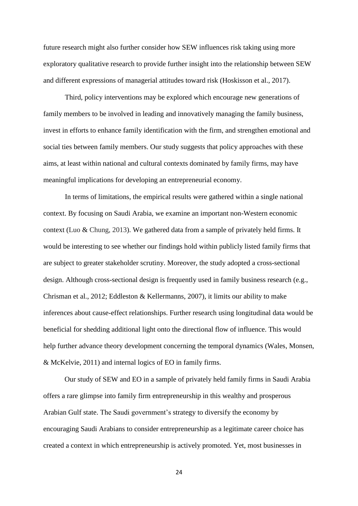future research might also further consider how SEW influences risk taking using more exploratory qualitative research to provide further insight into the relationship between SEW and different expressions of managerial attitudes toward risk (Hoskisson et al., 2017).

Third, policy interventions may be explored which encourage new generations of family members to be involved in leading and innovatively managing the family business, invest in efforts to enhance family identification with the firm, and strengthen emotional and social ties between family members. Our study suggests that policy approaches with these aims, at least within national and cultural contexts dominated by family firms, may have meaningful implications for developing an entrepreneurial economy.

In terms of limitations, the empirical results were gathered within a single national context. By focusing on Saudi Arabia, we examine an important non-Western economic context (Luo & Chung, 2013). We gathered data from a sample of privately held firms. It would be interesting to see whether our findings hold within publicly listed family firms that are subject to greater stakeholder scrutiny. Moreover, the study adopted a cross-sectional design. Although cross-sectional design is frequently used in family business research (e.g., Chrisman et al., 2012; Eddleston & Kellermanns, 2007), it limits our ability to make inferences about cause-effect relationships. Further research using longitudinal data would be beneficial for shedding additional light onto the directional flow of influence. This would help further advance theory development concerning the temporal dynamics (Wales, Monsen, & McKelvie, 2011) and internal logics of EO in family firms.

Our study of SEW and EO in a sample of privately held family firms in Saudi Arabia offers a rare glimpse into family firm entrepreneurship in this wealthy and prosperous Arabian Gulf state. The Saudi government's strategy to diversify the economy by encouraging Saudi Arabians to consider entrepreneurship as a legitimate career choice has created a context in which entrepreneurship is actively promoted. Yet, most businesses in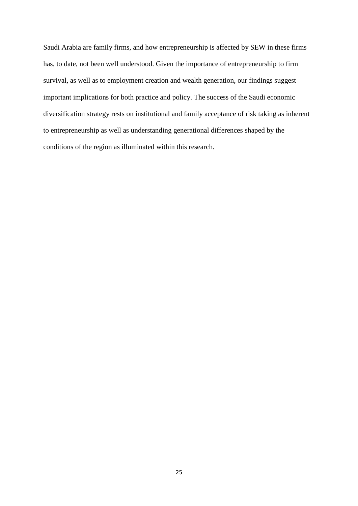Saudi Arabia are family firms, and how entrepreneurship is affected by SEW in these firms has, to date, not been well understood. Given the importance of entrepreneurship to firm survival, as well as to employment creation and wealth generation, our findings suggest important implications for both practice and policy. The success of the Saudi economic diversification strategy rests on institutional and family acceptance of risk taking as inherent to entrepreneurship as well as understanding generational differences shaped by the conditions of the region as illuminated within this research.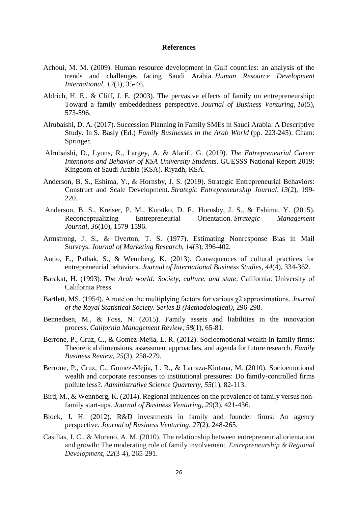#### **References**

- Achoui, M. M. (2009). Human resource development in Gulf countries: an analysis of the trends and challenges facing Saudi Arabia. *Human Resource Development International*, *12*(1), 35-46.
- Aldrich, H. E., & Cliff, J. E. (2003). The pervasive effects of family on entrepreneurship: Toward a family embeddedness perspective. *Journal of Business Venturing*, *18*(5), 573-596.
- Alrubaishi, D. A. (2017). Succession Planning in Family SMEs in Saudi Arabia: A Descriptive Study. In S. Basly (Ed.) *Family Businesses in the Arab World* (pp. 223-245). Cham: Springer.
- Alrubaishi, D., Lyons, R., Largey, A. & Alarifi, G. (2019). *The Entrepreneurial Career Intentions and Behavior of KSA University Students*. GUESSS National Report 2019: Kingdom of Saudi Arabia (KSA). Riyadh, KSA.
- Anderson, B. S., Eshima, Y., & Hornsby, J. S. (2019). Strategic Entrepreneurial Behaviors: Construct and Scale Development. *Strategic Entrepreneurship Journal*, *13*(2), 199- 220.
- Anderson, B. S., Kreiser, P. M., Kuratko, D. F., Hornsby, J. S., & Eshima, Y. (2015). Reconceptualizing Entrepreneurial Orientation. *Strategic Management Journal*, *36*(10), 1579-1596.
- Armstrong, J. S., & Overton, T. S. (1977). Estimating Nonresponse Bias in Mail Surveys. *Journal of Marketing Research*, *14*(3), 396-402.
- Autio, E., Pathak, S., & Wennberg, K. (2013). Consequences of cultural practices for entrepreneurial behaviors. *Journal of International Business Studies*, *44*(4), 334-362.
- Barakat, H. (1993). *The Arab world: Society, culture, and state*. California: University of California Press.
- Bartlett, MS. (1954). A note on the multiplying factors for various χ2 approximations. *Journal of the Royal Statistical Society. Series B (Methodological),* 296-298.
- Bennedsen, M., & Foss, N. (2015). Family assets and liabilities in the innovation process. *California Management Review*, *58*(1), 65-81.
- Berrone, P., Cruz, C., & Gomez-Mejia, L. R. (2012). Socioemotional wealth in family firms: Theoretical dimensions, assessment approaches, and agenda for future research. *Family Business Review*, *25*(3), 258-279.
- Berrone, P., Cruz, C., Gomez-Mejia, L. R., & Larraza-Kintana, M. (2010). Socioemotional wealth and corporate responses to institutional pressures: Do family-controlled firms pollute less?. *Administrative Science Quarterly*, *55*(1), 82-113.
- Bird, M., & Wennberg, K. (2014). Regional influences on the prevalence of family versus nonfamily start-ups. *Journal of Business Venturing*, *29*(3), 421-436.
- Block, J. H. (2012). R&D investments in family and founder firms: An agency perspective. *Journal of Business Venturing*, *27*(2), 248-265.
- Casillas, J. C., & Moreno, A. M. (2010). The relationship between entrepreneurial orientation and growth: The moderating role of family involvement. *Entrepreneurship & Regional Development*, *22*(3-4), 265-291.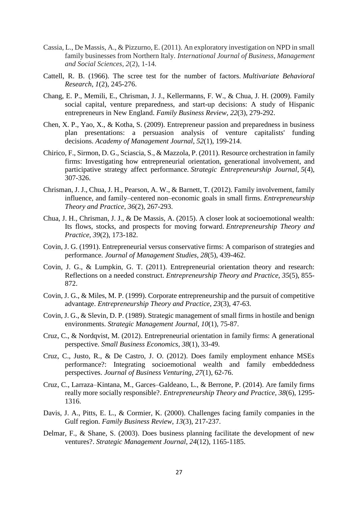- Cassia, L., De Massis, A., & Pizzurno, E. (2011). An exploratory investigation on NPD in small family businesses from Northern Italy. *International Journal of Business, Management and Social Sciences*, *2*(2), 1-14.
- Cattell, R. B. (1966). The scree test for the number of factors. *Multivariate Behavioral Research*, *1*(2), 245-276.
- Chang, E. P., Memili, E., Chrisman, J. J., Kellermanns, F. W., & Chua, J. H. (2009). Family social capital, venture preparedness, and start-up decisions: A study of Hispanic entrepreneurs in New England. *Family Business Review*, *22*(3), 279-292.
- Chen, X. P., Yao, X., & Kotha, S. (2009). Entrepreneur passion and preparedness in business plan presentations: a persuasion analysis of venture capitalists' funding decisions. *Academy of Management Journal*, *52*(1), 199-214.
- Chirico, F., Sirmon, D. G., Sciascia, S., & Mazzola, P. (2011). Resource orchestration in family firms: Investigating how entrepreneurial orientation, generational involvement, and participative strategy affect performance. *Strategic Entrepreneurship Journal*, *5*(4), 307-326.
- Chrisman, J. J., Chua, J. H., Pearson, A. W., & Barnett, T. (2012). Family involvement, family influence, and family–centered non–economic goals in small firms. *Entrepreneurship Theory and Practice*, *36*(2), 267-293.
- Chua, J. H., Chrisman, J. J., & De Massis, A. (2015). A closer look at socioemotional wealth: Its flows, stocks, and prospects for moving forward. *Entrepreneurship Theory and Practice*, *39*(2), 173-182.
- Covin, J. G. (1991). Entrepreneurial versus conservative firms: A comparison of strategies and performance. *Journal of Management Studies*, *28*(5), 439-462.
- Covin, J. G., & Lumpkin, G. T. (2011). Entrepreneurial orientation theory and research: Reflections on a needed construct. *Entrepreneurship Theory and Practice*, *35*(5), 855- 872.
- Covin, J. G., & Miles, M. P. (1999). Corporate entrepreneurship and the pursuit of competitive advantage. *Entrepreneurship Theory and Practice*, *23*(3), 47-63.
- Covin, J. G., & Slevin, D. P. (1989). Strategic management of small firms in hostile and benign environments. *Strategic Management Journal*, *10*(1), 75-87.
- Cruz, C., & Nordqvist, M. (2012). Entrepreneurial orientation in family firms: A generational perspective. *Small Business Economics*, *38*(1), 33-49.
- Cruz, C., Justo, R., & De Castro, J. O. (2012). Does family employment enhance MSEs performance?: Integrating socioemotional wealth and family embeddedness perspectives. *Journal of Business Venturing*, *27*(1), 62-76.
- Cruz, C., Larraza–Kintana, M., Garces–Galdeano, L., & Berrone, P. (2014). Are family firms really more socially responsible?. *Entrepreneurship Theory and Practice*, *38*(6), 1295- 1316.
- Davis, J. A., Pitts, E. L., & Cormier, K. (2000). Challenges facing family companies in the Gulf region. *Family Business Review*, *13*(3), 217-237.
- Delmar, F., & Shane, S. (2003). Does business planning facilitate the development of new ventures?. *Strategic Management Journal*, *24*(12), 1165-1185.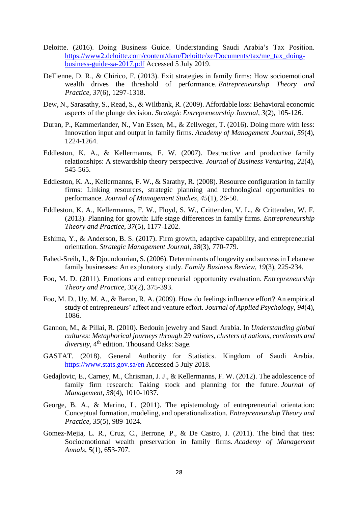- Deloitte. (2016). Doing Business Guide. Understanding Saudi Arabia's Tax Position. [https://www2.deloitte.com/content/dam/Deloitte/xe/Documents/tax/me\\_tax\\_doing](https://www2.deloitte.com/content/dam/Deloitte/xe/Documents/tax/me_tax_doing-business-guide-sa-2017.pdf)[business-guide-sa-2017.pdf](https://www2.deloitte.com/content/dam/Deloitte/xe/Documents/tax/me_tax_doing-business-guide-sa-2017.pdf) Accessed 5 July 2019.
- DeTienne, D. R., & Chirico, F. (2013). Exit strategies in family firms: How socioemotional wealth drives the threshold of performance. *Entrepreneurship Theory and Practice*, *37*(6), 1297-1318.
- Dew, N., Sarasathy, S., Read, S., & Wiltbank, R. (2009). Affordable loss: Behavioral economic aspects of the plunge decision. *Strategic Entrepreneurship Journal*, *3*(2), 105-126.
- Duran, P., Kammerlander, N., Van Essen, M., & Zellweger, T. (2016). Doing more with less: Innovation input and output in family firms. *Academy of Management Journal*, *59*(4), 1224-1264.
- Eddleston, K. A., & Kellermanns, F. W. (2007). Destructive and productive family relationships: A stewardship theory perspective. *Journal of Business Venturing*, *22*(4), 545-565.
- Eddleston, K. A., Kellermanns, F. W., & Sarathy, R. (2008). Resource configuration in family firms: Linking resources, strategic planning and technological opportunities to performance. *Journal of Management Studies*, *45*(1), 26-50.
- Eddleston, K. A., Kellermanns, F. W., Floyd, S. W., Crittenden, V. L., & Crittenden, W. F. (2013). Planning for growth: Life stage differences in family firms. *Entrepreneurship Theory and Practice*, *37*(5), 1177-1202.
- Eshima, Y., & Anderson, B. S. (2017). Firm growth, adaptive capability, and entrepreneurial orientation. *Strategic Management Journal*, *38*(3), 770-779.
- Fahed-Sreih, J., & Djoundourian, S. (2006). Determinants of longevity and success in Lebanese family businesses: An exploratory study. *Family Business Review*, *19*(3), 225-234.
- Foo, M. D. (2011). Emotions and entrepreneurial opportunity evaluation. *Entrepreneurship Theory and Practice*, *35*(2), 375-393.
- Foo, M. D., Uy, M. A., & Baron, R. A. (2009). How do feelings influence effort? An empirical study of entrepreneurs' affect and venture effort. *Journal of Applied Psychology*, *94*(4), 1086.
- Gannon, M., & Pillai, R. (2010). Bedouin jewelry and Saudi Arabia. In *Understanding global cultures: Metaphorical journeys through 29 nations, clusters of nations, continents and diversity*, 4th edition. Thousand Oaks: Sage.
- GASTAT. (2018). General Authority for Statistics. Kingdom of Saudi Arabia. <https://www.stats.gov.sa/en> Accessed 5 July 2018.
- Gedajlovic, E., Carney, M., Chrisman, J. J., & Kellermanns, F. W. (2012). The adolescence of family firm research: Taking stock and planning for the future. *Journal of Management*, *38*(4), 1010-1037.
- George, B. A., & Marino, L. (2011). The epistemology of entrepreneurial orientation: Conceptual formation, modeling, and operationalization. *Entrepreneurship Theory and Practice*, *35*(5), 989-1024.
- Gomez-Mejia, L. R., Cruz, C., Berrone, P., & De Castro, J. (2011). The bind that ties: Socioemotional wealth preservation in family firms. *Academy of Management Annals*, *5*(1), 653-707.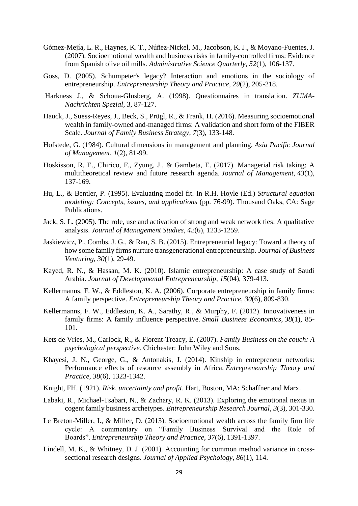- Gómez-Mejía, L. R., Haynes, K. T., Núñez-Nickel, M., Jacobson, K. J., & Moyano-Fuentes, J. (2007). Socioemotional wealth and business risks in family-controlled firms: Evidence from Spanish olive oil mills. *Administrative Science Quarterly*, *52*(1), 106-137.
- Goss, D. (2005). Schumpeter's legacy? Interaction and emotions in the sociology of entrepreneurship. *Entrepreneurship Theory and Practice*, *29*(2), 205-218.
- Harkness J., & Schoua-Glusberg, A. (1998). Questionnaires in translation. *ZUMA-Nachrichten Spezial,* 3, 87-127.
- Hauck, J., Suess-Reyes, J., Beck, S., Prügl, R., & Frank, H. (2016). Measuring socioemotional wealth in family-owned and-managed firms: A validation and short form of the FIBER Scale. *Journal of Family Business Strategy*, *7*(3), 133-148.
- Hofstede, G. (1984). Cultural dimensions in management and planning. *Asia Pacific Journal of Management*, *1*(2), 81-99.
- Hoskisson, R. E., Chirico, F., Zyung, J., & Gambeta, E. (2017). Managerial risk taking: A multitheoretical review and future research agenda. *Journal of Management*, *43*(1), 137-169.
- Hu, L., & Bentler, P. (1995). Evaluating model fit. In R.H. Hoyle (Ed.) *Structural equation modeling: Concepts, issues, and applications* (pp. 76-99). Thousand Oaks, CA: Sage Publications.
- Jack, S. L. (2005). The role, use and activation of strong and weak network ties: A qualitative analysis. *Journal of Management Studies*, *42*(6), 1233-1259.
- Jaskiewicz, P., Combs, J. G., & Rau, S. B. (2015). Entrepreneurial legacy: Toward a theory of how some family firms nurture transgenerational entrepreneurship. *Journal of Business Venturing*, *30*(1), 29-49.
- Kayed, R. N., & Hassan, M. K. (2010). Islamic entrepreneurship: A case study of Saudi Arabia. *Journal of Developmental Entrepreneurship*, *15*(04), 379-413.
- Kellermanns, F. W., & Eddleston, K. A. (2006). Corporate entrepreneurship in family firms: A family perspective. *Entrepreneurship Theory and Practice*, *30*(6), 809-830.
- Kellermanns, F. W., Eddleston, K. A., Sarathy, R., & Murphy, F. (2012). Innovativeness in family firms: A family influence perspective. *Small Business Economics*, *38*(1), 85- 101.
- Kets de Vries, M., Carlock, R., & Florent-Treacy, E. (2007). *Family Business on the couch: A psychological perspective.* Chichester: John Wiley and Sons.
- Khayesi, J. N., George, G., & Antonakis, J. (2014). Kinship in entrepreneur networks: Performance effects of resource assembly in Africa. *Entrepreneurship Theory and Practice*, *38*(6), 1323-1342.
- Knight, FH. (1921). *Risk, uncertainty and profit*. Hart, Boston, MA: Schaffner and Marx.
- Labaki, R., Michael-Tsabari, N., & Zachary, R. K. (2013). Exploring the emotional nexus in cogent family business archetypes. *Entrepreneurship Research Journal*, *3*(3), 301-330.
- Le Breton-Miller, I., & Miller, D. (2013). Socioemotional wealth across the family firm life cycle: A commentary on "Family Business Survival and the Role of Boards". *Entrepreneurship Theory and Practice*, *37*(6), 1391-1397.
- Lindell, M. K., & Whitney, D. J. (2001). Accounting for common method variance in crosssectional research designs. *Journal of Applied Psychology*, *86*(1), 114.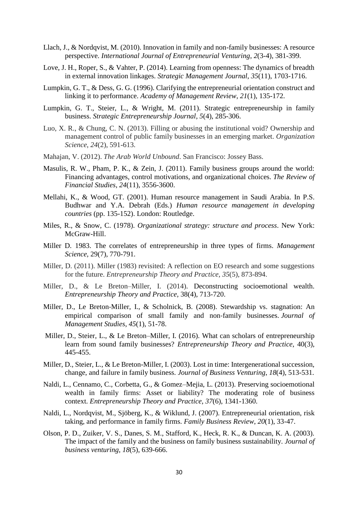- Llach, J., & Nordqvist, M. (2010). Innovation in family and non-family businesses: A resource perspective. *International Journal of Entrepreneurial Venturing*, *2*(3-4), 381-399.
- Love, J. H., Roper, S., & Vahter, P. (2014). Learning from openness: The dynamics of breadth in external innovation linkages. *Strategic Management Journal*, *35*(11), 1703-1716.
- Lumpkin, G. T., & Dess, G. G. (1996). Clarifying the entrepreneurial orientation construct and linking it to performance. *Academy of Management Review*, *21*(1), 135-172.
- Lumpkin, G. T., Steier, L., & Wright, M. (2011). Strategic entrepreneurship in family business. *Strategic Entrepreneurship Journal*, *5*(4), 285-306.
- Luo, X. R., & Chung, C. N. (2013). Filling or abusing the institutional void? Ownership and management control of public family businesses in an emerging market. *Organization Science*, *24*(2), 591-613.
- Mahajan, V. (2012). *The Arab World Unbound*. San Francisco: Jossey Bass.
- Masulis, R. W., Pham, P. K., & Zein, J. (2011). Family business groups around the world: Financing advantages, control motivations, and organizational choices. *The Review of Financial Studies*, *24*(11), 3556-3600.
- Mellahi, K., & Wood, GT. (2001). Human resource management in Saudi Arabia. In P.S. Budhwar and Y.A. Debrah (Eds.) *Human resource management in developing countries* (pp. 135-152). London: Routledge.
- Miles, R., & Snow, C. (1978). *Organizational strategy: structure and process*. New York: McGraw-Hill.
- Miller D. 1983. The correlates of entrepreneurship in three types of firms. *Management Science,* 29(7), 770-791.
- Miller, D. (2011). Miller (1983) revisited: A reflection on EO research and some suggestions for the future. *Entrepreneurship Theory and Practice*, *35*(5), 873-894.
- Miller, D., & Le Breton–Miller, I. (2014). Deconstructing socioemotional wealth. *Entrepreneurship Theory and Practice,* 38(4), 713-720.
- Miller, D., Le Breton-Miller, I., & Scholnick, B. (2008). Stewardship vs. stagnation: An empirical comparison of small family and non-family businesses. *Journal of Management Studies*, *45*(1), 51-78.
- Miller, D., Steier, L., & Le Breton–Miller, I. (2016). What can scholars of entrepreneurship learn from sound family businesses? *Entrepreneurship Theory and Practice*, 40(3), 445-455.
- Miller, D., Steier, L., & Le Breton-Miller, I. (2003). Lost in time: Intergenerational succession, change, and failure in family business. *Journal of Business Venturing*, *18*(4), 513-531.
- Naldi, L., Cennamo, C., Corbetta, G., & Gomez–Mejia, L. (2013). Preserving socioemotional wealth in family firms: Asset or liability? The moderating role of business context. *Entrepreneurship Theory and Practice*, *37*(6), 1341-1360.
- Naldi, L., Nordqvist, M., Sjöberg, K., & Wiklund, J. (2007). Entrepreneurial orientation, risk taking, and performance in family firms. *Family Business Review*, *20*(1), 33-47.
- Olson, P. D., Zuiker, V. S., Danes, S. M., Stafford, K., Heck, R. K., & Duncan, K. A. (2003). The impact of the family and the business on family business sustainability. *Journal of business venturing*, *18*(5), 639-666.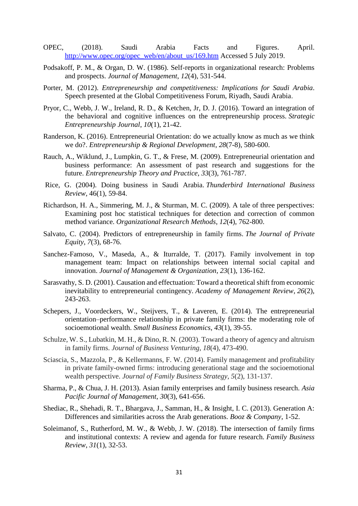- OPEC, (2018). Saudi Arabia Facts and Figures. April. [http://www.opec.org/opec\\_web/en/about\\_us/169.htm](http://www.opec.org/opec_web/en/about_us/169.htm) Accessed 5 July 2019.
- Podsakoff, P. M., & Organ, D. W. (1986). Self-reports in organizational research: Problems and prospects. *Journal of Management*, *12*(4), 531-544.
- Porter, M. (2012). *Entrepreneurship and competitiveness: Implications for Saudi Arabia*. Speech presented at the Global Competitiveness Forum, Riyadh, Saudi Arabia.
- Pryor, C., Webb, J. W., Ireland, R. D., & Ketchen, Jr, D. J. (2016). Toward an integration of the behavioral and cognitive influences on the entrepreneurship process. *Strategic Entrepreneurship Journal*, *10*(1), 21-42.
- Randerson, K. (2016). Entrepreneurial Orientation: do we actually know as much as we think we do?. *Entrepreneurship & Regional Development*, *28*(7-8), 580-600.
- Rauch, A., Wiklund, J., Lumpkin, G. T., & Frese, M. (2009). Entrepreneurial orientation and business performance: An assessment of past research and suggestions for the future. *Entrepreneurship Theory and Practice*, *33*(3), 761-787.
- Rice, G. (2004). Doing business in Saudi Arabia. *Thunderbird International Business Review,* 46(1), 59-84.
- Richardson, H. A., Simmering, M. J., & Sturman, M. C. (2009). A tale of three perspectives: Examining post hoc statistical techniques for detection and correction of common method variance. *Organizational Research Methods*, *12*(4), 762-800.
- Salvato, C. (2004). Predictors of entrepreneurship in family firms. *The Journal of Private Equity*, *7*(3), 68-76.
- Sanchez-Famoso, V., Maseda, A., & Iturralde, T. (2017). Family involvement in top management team: Impact on relationships between internal social capital and innovation. *Journal of Management & Organization*, *23*(1), 136-162.
- Sarasvathy, S. D. (2001). Causation and effectuation: Toward a theoretical shift from economic inevitability to entrepreneurial contingency. *Academy of Management Review*, *26*(2), 243-263.
- Schepers, J., Voordeckers, W., Steijvers, T., & Laveren, E. (2014). The entrepreneurial orientation–performance relationship in private family firms: the moderating role of socioemotional wealth. *Small Business Economics*, *43*(1), 39-55.
- Schulze, W. S., Lubatkin, M. H., & Dino, R. N. (2003). Toward a theory of agency and altruism in family firms. *Journal of Business Venturing*, *18*(4), 473-490.
- Sciascia, S., Mazzola, P., & Kellermanns, F. W. (2014). Family management and profitability in private family-owned firms: introducing generational stage and the socioemotional wealth perspective. *Journal of Family Business Strategy*, *5*(2), 131-137.
- Sharma, P., & Chua, J. H. (2013). Asian family enterprises and family business research. *Asia Pacific Journal of Management*, *30*(3), 641-656.
- Shediac, R., Shehadi, R. T., Bhargava, J., Samman, H., & Insight, I. C. (2013). Generation A: Differences and similarities across the Arab generations. *Booz & Company*, 1-52.
- Soleimanof, S., Rutherford, M. W., & Webb, J. W. (2018). The intersection of family firms and institutional contexts: A review and agenda for future research. *Family Business Review*, *31*(1), 32-53.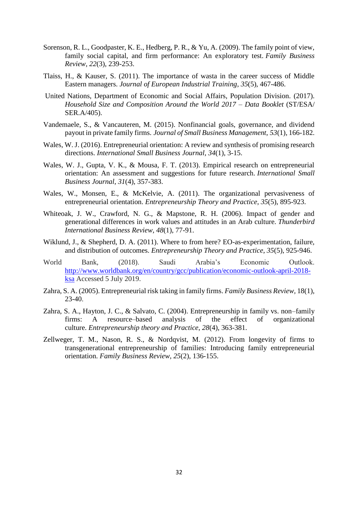- Sorenson, R. L., Goodpaster, K. E., Hedberg, P. R., & Yu, A. (2009). The family point of view, family social capital, and firm performance: An exploratory test. *Family Business Review*, *22*(3), 239-253.
- Tlaiss, H., & Kauser, S. (2011). The importance of wasta in the career success of Middle Eastern managers. *Journal of European Industrial Training*, *35*(5), 467-486.
- United Nations, Department of Economic and Social Affairs, Population Division. (2017). *Household Size and Composition Around the World 2017 – Data Booklet* (ST/ESA/ SER.A/405).
- Vandemaele, S., & Vancauteren, M. (2015). Nonfinancial goals, governance, and dividend payout in private family firms. *Journal of Small Business Management*, *53*(1), 166-182.
- Wales, W. J. (2016). Entrepreneurial orientation: A review and synthesis of promising research directions. *International Small Business Journal*, *34*(1), 3-15.
- Wales, W. J., Gupta, V. K., & Mousa, F. T. (2013). Empirical research on entrepreneurial orientation: An assessment and suggestions for future research. *International Small Business Journal*, *31*(4), 357-383.
- Wales, W., Monsen, E., & McKelvie, A. (2011). The organizational pervasiveness of entrepreneurial orientation. *Entrepreneurship Theory and Practice*, *35*(5), 895-923.
- Whiteoak, J. W., Crawford, N. G., & Mapstone, R. H. (2006). Impact of gender and generational differences in work values and attitudes in an Arab culture. *Thunderbird International Business Review*, *48*(1), 77-91.
- Wiklund, J., & Shepherd, D. A. (2011). Where to from here? EO-as-experimentation, failure, and distribution of outcomes. *Entrepreneurship Theory and Practice*, *35*(5), 925-946.
- World Bank, (2018). Saudi Arabia's Economic Outlook. [http://www.worldbank.org/en/country/gcc/publication/economic-outlook-april-2018](http://www.worldbank.org/en/country/gcc/publication/economic-outlook-april-2018-ksa) [ksa](http://www.worldbank.org/en/country/gcc/publication/economic-outlook-april-2018-ksa) Accessed 5 July 2019.
- Zahra, S. A. (2005). Entrepreneurial risk taking in family firms. *Family Business Review,* 18(1), 23-40.
- Zahra, S. A., Hayton, J. C., & Salvato, C. (2004). Entrepreneurship in family vs. non–family firms: A resource–based analysis of the effect of organizational culture. *Entrepreneurship theory and Practice*, *28*(4), 363-381.
- Zellweger, T. M., Nason, R. S., & Nordqvist, M. (2012). From longevity of firms to transgenerational entrepreneurship of families: Introducing family entrepreneurial orientation. *Family Business Review*, *25*(2), 136-155.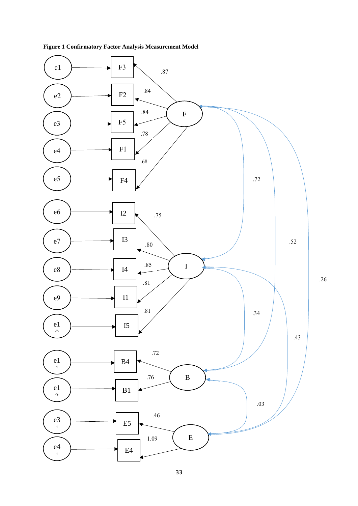

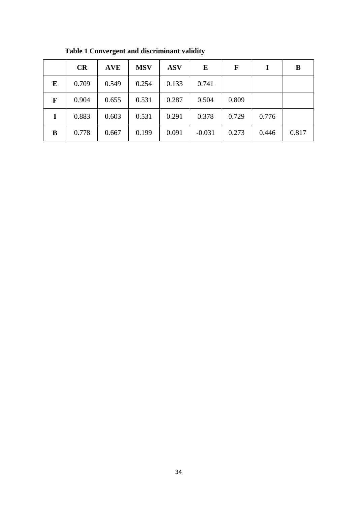|   | CR    | <b>AVE</b> | <b>MSV</b> | <b>ASV</b> | E        | F     | I     | B     |
|---|-------|------------|------------|------------|----------|-------|-------|-------|
| E | 0.709 | 0.549      | 0.254      | 0.133      | 0.741    |       |       |       |
| F | 0.904 | 0.655      | 0.531      | 0.287      | 0.504    | 0.809 |       |       |
|   | 0.883 | 0.603      | 0.531      | 0.291      | 0.378    | 0.729 | 0.776 |       |
| B | 0.778 | 0.667      | 0.199      | 0.091      | $-0.031$ | 0.273 | 0.446 | 0.817 |

**Table 1 Convergent and discriminant validity**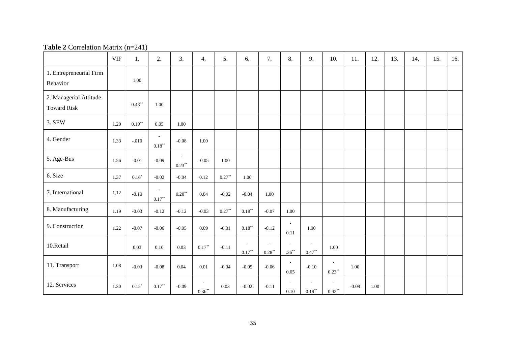| <b>EUDIC =</b> Contention matrix $\left(1\right)$ = $\left(1\right)$ |            |           |                                               |                     |                                       |           |                                       |                                               |                            |                                      |                             |          |      |     |     |     |     |
|----------------------------------------------------------------------|------------|-----------|-----------------------------------------------|---------------------|---------------------------------------|-----------|---------------------------------------|-----------------------------------------------|----------------------------|--------------------------------------|-----------------------------|----------|------|-----|-----|-----|-----|
|                                                                      | <b>VIF</b> | 1.        | 2.                                            | 3.                  | 4.                                    | 5.        | 6.                                    | 7.                                            | 8.                         | 9.                                   | 10.                         | 11.      | 12.  | 13. | 14. | 15. | 16. |
| 1. Entrepreneurial Firm<br>Behavior                                  |            | 1.00      |                                               |                     |                                       |           |                                       |                                               |                            |                                      |                             |          |      |     |     |     |     |
| 2. Managerial Attitude<br><b>Toward Risk</b>                         |            | $0.43***$ | 1.00                                          |                     |                                       |           |                                       |                                               |                            |                                      |                             |          |      |     |     |     |     |
| 3. SEW                                                               | 1.20       | $0.19***$ | 0.05                                          | 1.00                |                                       |           |                                       |                                               |                            |                                      |                             |          |      |     |     |     |     |
| 4. Gender                                                            | 1.33       | $-.010$   | $\overline{\phantom{a}}$<br>$0.18^{\ast\ast}$ | $-0.08$             | 1.00                                  |           |                                       |                                               |                            |                                      |                             |          |      |     |     |     |     |
| 5. Age-Bus                                                           | 1.56       | $-0.01$   | $-0.09$                                       | $\sim$<br>$0.23***$ | $-0.05$                               | $1.00\,$  |                                       |                                               |                            |                                      |                             |          |      |     |     |     |     |
| 6. Size                                                              | 1.37       | $0.16*$   | $-0.02$                                       | $-0.04$             | 0.12                                  | $0.27**$  | $1.00\,$                              |                                               |                            |                                      |                             |          |      |     |     |     |     |
| 7. International                                                     | 1.12       | $-0.10$   | $\sim$<br>$0.17***$                           | $0.20**$            | 0.04                                  | $-0.02$   | $-0.04$                               | $1.00\,$                                      |                            |                                      |                             |          |      |     |     |     |     |
| 8. Manufacturing                                                     | 1.19       | $-0.03$   | $-0.12$                                       | $-0.12$             | $-0.03$                               | $0.27***$ | $0.18^{\ast\ast}$                     | $-0.07$                                       | $1.00\,$                   |                                      |                             |          |      |     |     |     |     |
| 9. Construction                                                      | 1.22       | $-0.07$   | $-0.06$                                       | $-0.05$             | 0.09                                  | $-0.01$   | $0.18***$                             | $-0.12$                                       | $\sim$<br>0.11             | 1.00                                 |                             |          |      |     |     |     |     |
| 10.Retail                                                            |            | 0.03      | $0.10\,$                                      | 0.03                | $0.17^{\ast\ast}$                     | $-0.11$   | $\overline{\phantom{a}}$<br>$0.17***$ | $\overline{\phantom{a}}$<br>$0.28^{\ast\ast}$ | $\sim$<br>$.26***$         | $\overline{\phantom{a}}$<br>$0.47**$ | 1.00                        |          |      |     |     |     |     |
| 11. Transport                                                        | 1.08       | $-0.03$   | $-0.08$                                       | $0.04\,$            | $0.01\,$                              | $-0.04$   | $-0.05$                               | $-0.06$                                       | $\overline{a}$<br>$0.05\,$ | $-0.10$                              | $\overline{a}$<br>$0.23***$ | $1.00\,$ |      |     |     |     |     |
| 12. Services                                                         | 1.30       | $0.15*$   | $0.17^{\ast\ast}$                             | $-0.09$             | $\overline{\phantom{a}}$<br>$0.36***$ | 0.03      | $-0.02$                               | $-0.11$                                       | $\sim$<br>$0.10\,$         | $0.19***$                            | $0.42***$                   | $-0.09$  | 1.00 |     |     |     |     |

#### **Table 2** Correlation Matrix (n=241)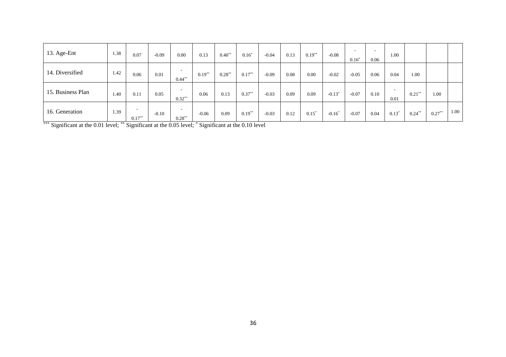| 13. Age-Ent       | 1.38 | 0.07                | $-0.09$ | 0.00             | 0.13      | $0.40**$  | $0.16^{\circ}$ | $-0.04$ | 0.13 | $0.19***$ | $-0.08$   | $\overline{\phantom{a}}$<br>$0.16*$ | 0.06 | 1.00    |           |          |      |
|-------------------|------|---------------------|---------|------------------|-----------|-----------|----------------|---------|------|-----------|-----------|-------------------------------------|------|---------|-----------|----------|------|
| 14. Diversified   | 1.42 | 0.06                | 0.01    | . .<br>$0.44***$ | $0.19***$ | $0.28***$ | $0.17***$      | $-0.09$ | 0.08 | 0.00      | $-0.02$   | $-0.05$                             | 0.06 | 0.04    | 1.00      |          |      |
| 15. Business Plan | 1.40 | 0.11                | 0.05    | . .<br>$0.32**$  | 0.06      | 0.13      | $0.37**$       | $-0.03$ | 0.09 | 0.09      | $-0.13*$  | $-0.07$                             | 0.10 | 0.01    | $0.21***$ | 1.00     |      |
| 16. Generation    | 1.39 | $\sim$<br>$0.17***$ | $-0.10$ | . .<br>$0.28***$ | $-0.06$   | 0.09      | $0.19***$      | $-0.03$ | 0.12 | $0.15^*$  | $-0.16^*$ | $-0.07$                             | 0.04 | $0.13*$ | $0.24***$ | $0.27**$ | 1.00 |

\*\*\* Significant at the 0.01 level; \*\* Significant at the 0.05 level; \* Significant at the 0.10 level